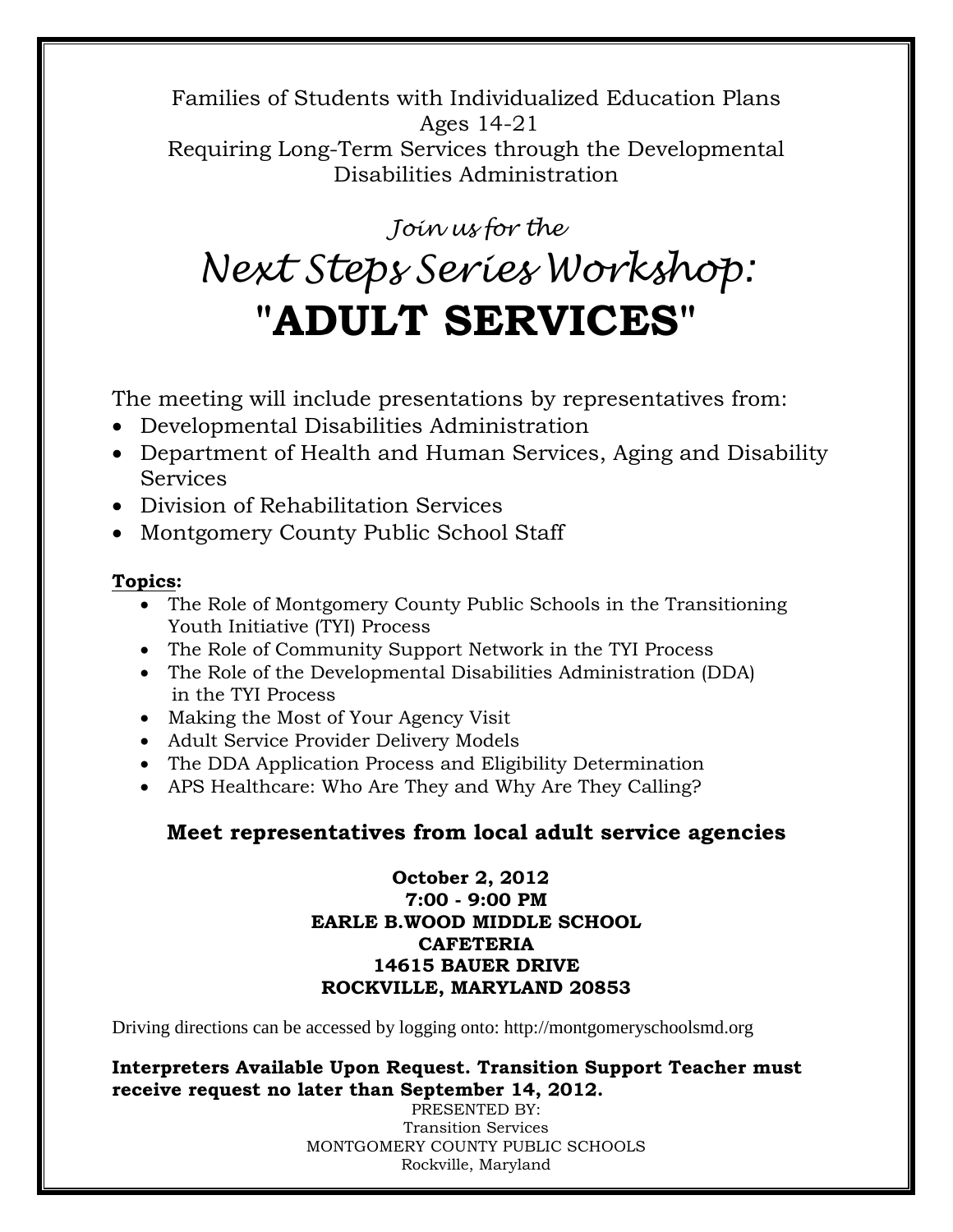Families of Students with Individualized Education Plans Ages 14-21

Requiring Long-Term Services through the Developmental Disabilities Administration

*Join us for the*

# *Next Steps Series Workshop:* **"ADULT SERVICES"**

The meeting will include presentations by representatives from:

- Developmental Disabilities Administration
- Department of Health and Human Services, Aging and Disability **Services**
- Division of Rehabilitation Services
- Montgomery County Public School Staff

### **Topics:**

- The Role of Montgomery County Public Schools in the Transitioning Youth Initiative (TYI) Process
- The Role of Community Support Network in the TYI Process
- The Role of the Developmental Disabilities Administration (DDA) in the TYI Process
- Making the Most of Your Agency Visit
- Adult Service Provider Delivery Models
- The DDA Application Process and Eligibility Determination
- APS Healthcare: Who Are They and Why Are They Calling?

## **Meet representatives from local adult service agencies**

#### **October 2, 2012 7:00 - 9:00 PM EARLE B.WOOD MIDDLE SCHOOL CAFETERIA 14615 BAUER DRIVE ROCKVILLE, MARYLAND 20853**

Driving directions can be accessed by logging onto: http://montgomeryschoolsmd.org

#### **Interpreters Available Upon Request. Transition Support Teacher must receive request no later than September 14, 2012.**

PRESENTED BY: Transition Services MONTGOMERY COUNTY PUBLIC SCHOOLS Rockville, Maryland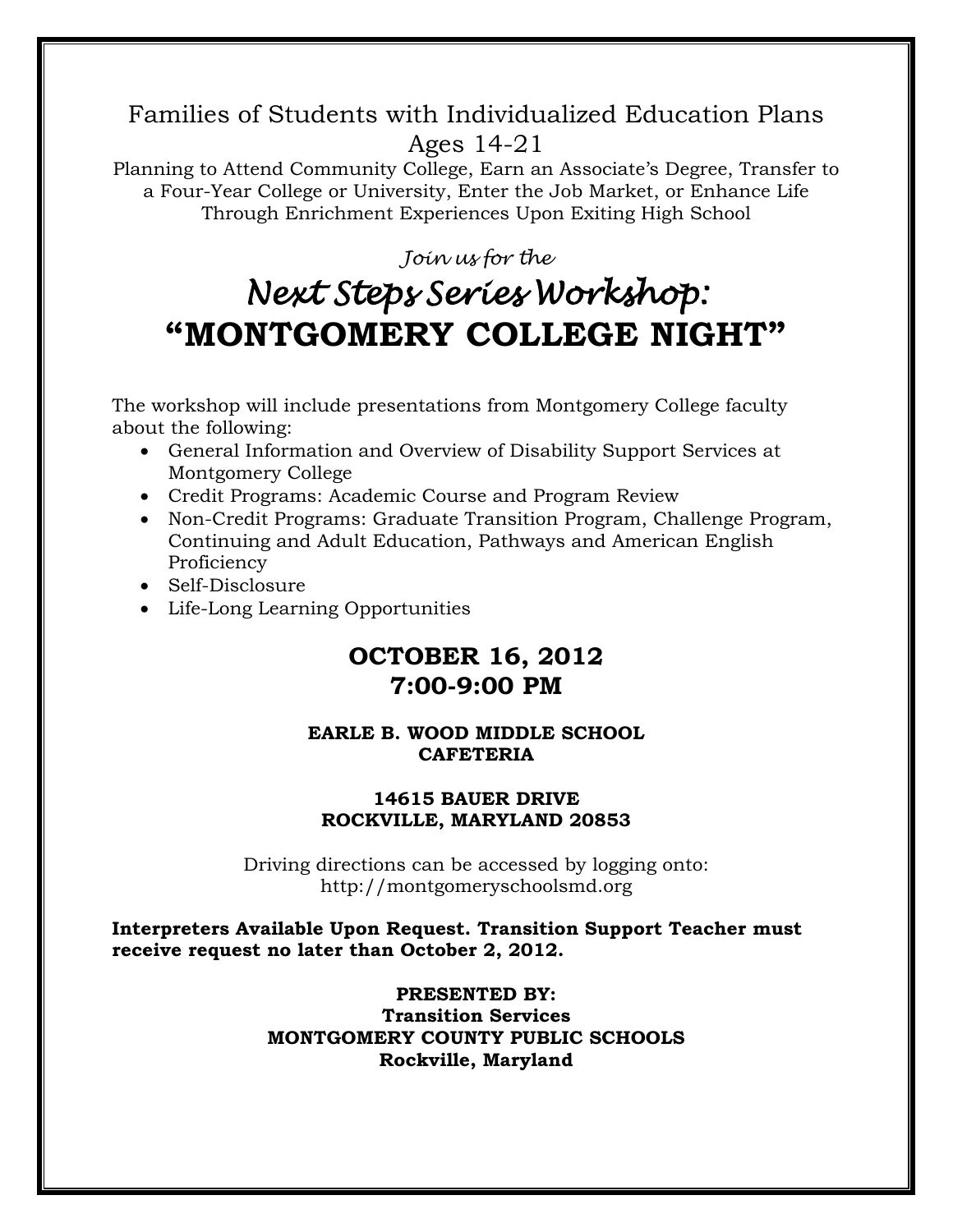## Families of Students with Individualized Education Plans Ages 14-21

Planning to Attend Community College, Earn an Associate's Degree, Transfer to a Four-Year College or University, Enter the Job Market, or Enhance Life Through Enrichment Experiences Upon Exiting High School

### *Join us for the*

## *Next Steps Series Workshop:*  **"MONTGOMERY COLLEGE NIGHT"**

The workshop will include presentations from Montgomery College faculty about the following:

- General Information and Overview of Disability Support Services at Montgomery College
- Credit Programs: Academic Course and Program Review
- Non-Credit Programs: Graduate Transition Program, Challenge Program, Continuing and Adult Education, Pathways and American English **Proficiency**
- Self-Disclosure
- Life-Long Learning Opportunities

## **OCTOBER 16, 2012 7:00-9:00 PM**

#### **EARLE B. WOOD MIDDLE SCHOOL CAFETERIA**

#### **14615 BAUER DRIVE ROCKVILLE, MARYLAND 20853**

Driving directions can be accessed by logging onto: http://montgomeryschoolsmd.org

**Interpreters Available Upon Request. Transition Support Teacher must receive request no later than October 2, 2012.**

#### **PRESENTED BY: Transition Services MONTGOMERY COUNTY PUBLIC SCHOOLS Rockville, Maryland**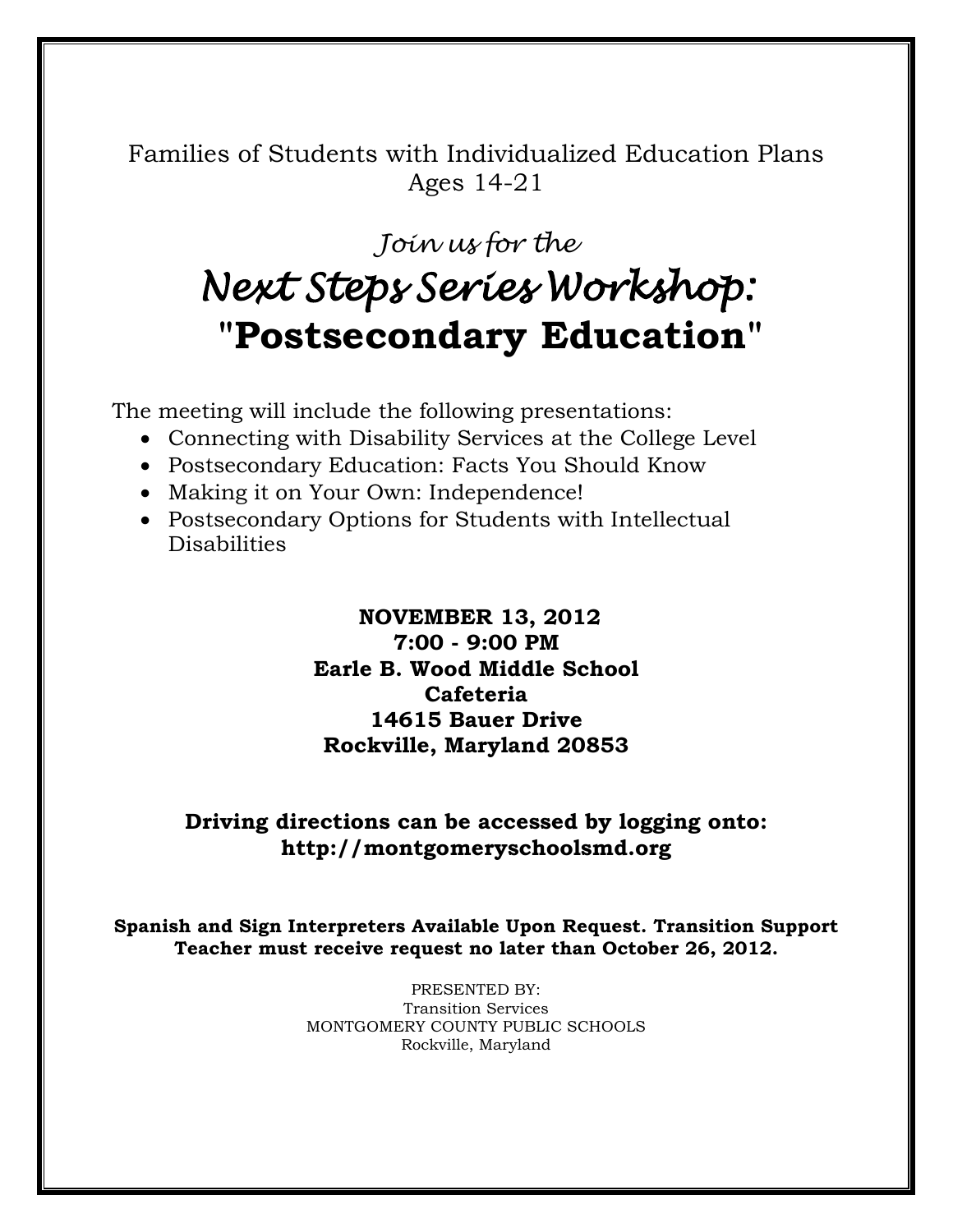Families of Students with Individualized Education Plans Ages 14-21

## *Join us for the Next Steps Series Workshop:*   **"Postsecondary Education"**

The meeting will include the following presentations:

- Connecting with Disability Services at the College Level
- Postsecondary Education: Facts You Should Know
- Making it on Your Own: Independence!
- Postsecondary Options for Students with Intellectual Disabilities

## **NOVEMBER 13, 2012**

**7:00 - 9:00 PM Earle B. Wood Middle School Cafeteria 14615 Bauer Drive Rockville, Maryland 20853**

### **Driving directions can be accessed by logging onto: http://montgomeryschoolsmd.org**

**Spanish and Sign Interpreters Available Upon Request. Transition Support Teacher must receive request no later than October 26, 2012.**

> PRESENTED BY: Transition Services MONTGOMERY COUNTY PUBLIC SCHOOLS Rockville, Maryland